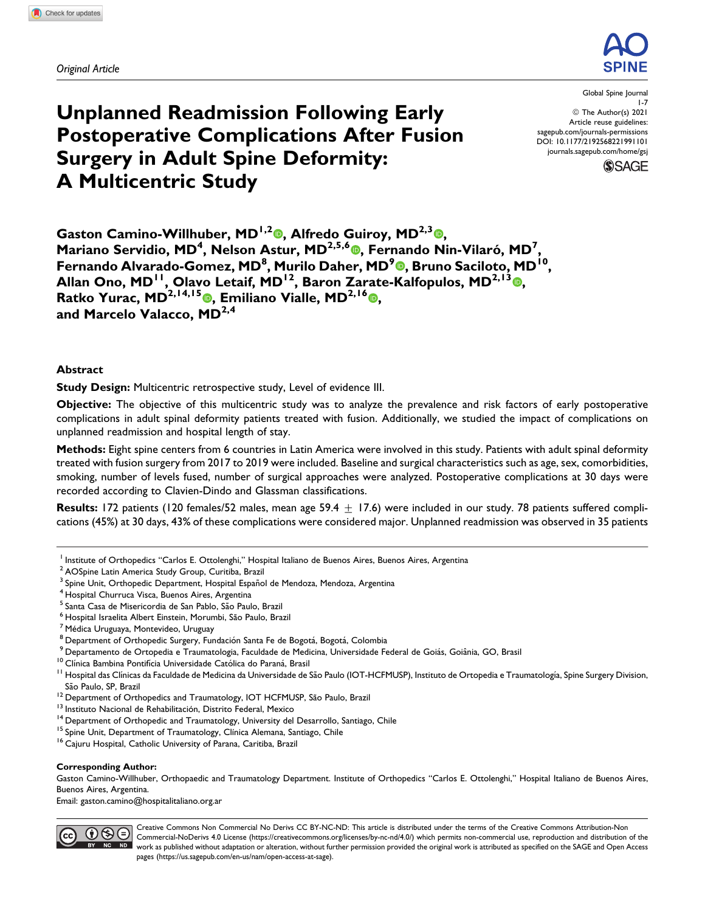*Original Article*



# **Unplanned Readmission Following Early Postoperative Complications After Fusion Surgery in Adult Spine Deformity: A Multicentric Study**

Global Spine Journal 1-7 ª The Author(s) 2021 Article reuse guidelines: [sagepub.com/journals-permissions](https://sagepub.com/journals-permissions) [DOI: 10.1177/2192568221991101](https://doi.org/10.1177/2192568221991101) [journals.sagepub.com/home/gsj](http://journals.sagepub.com/home/gsj)



Gaston Camino-Willhuber[,](https://orcid.org/0000-0002-5684-7679) MD<sup>1,2</sup><sup>®</sup>, Alfredo Guiroy, MD<sup>2,3</sup><sup>®</sup>, **Mariano Servidio, MD<sup>4</sup>, Nelson Astur, MD<sup>2,5,6</sup>®, Fernando Nin-Vilaró, MD<sup>7</sup>, Fernando Alvarado-Gomez, MD<sup>8</sup> , Murilo Daher, MD<sup>9</sup> [,](https://orcid.org/0000-0001-9589-5596) Bruno Saciloto, MD10, Allan Ono, MD11, Olavo Letaif, MD12, Baron Zarate-Kalfopulos, MD2,13 [,](https://orcid.org/0000-0002-0630-2662) Ratko Yurac, MD2,14,15 , Emiliano Vialle, MD2,16 , and Marcelo Valacco, MD2,4**

### **Abstract**

**Study Design:** Multicentric retrospective study, Level of evidence III.

**Objective:** The objective of this multicentric study was to analyze the prevalence and risk factors of early postoperative complications in adult spinal deformity patients treated with fusion. Additionally, we studied the impact of complications on unplanned readmission and hospital length of stay.

**Methods:** Eight spine centers from 6 countries in Latin America were involved in this study. Patients with adult spinal deformity treated with fusion surgery from 2017 to 2019 were included. Baseline and surgical characteristics such as age, sex, comorbidities, smoking, number of levels fused, number of surgical approaches were analyzed. Postoperative complications at 30 days were recorded according to Clavien-Dindo and Glassman classifications.

**Results:** 172 patients (120 females/52 males, mean age 59.4  $\pm$  17.6) were included in our study. 78 patients suffered complications (45%) at 30 days, 43% of these complications were considered major. Unplanned readmission was observed in 35 patients

#### **Corresponding Author:**

Gaston Camino-Willhuber, Orthopaedic and Traumatology Department. Institute of Orthopedics "Carlos E. Ottolenghi," Hospital Italiano de Buenos Aires, Buenos Aires, Argentina.

Email: [gaston.camino@hospitalitaliano.org.ar](mailto:gaston.camino@hospitalitaliano.org.ar)



Creative Commons Non Commercial No Derivs CC BY-NC-ND: This article is distributed under the terms of the Creative Commons Attribution-Non Commercial-NoDerivs 4.0 License ([https://creativecommons.org/licenses/by-nc-nd/4.0/\)](https://creativecommons.org/licenses/by-nc-nd/4.0/) which permits non-commercial use, reproduction and distribution of the work as published without adaptation or alteration, without further permission provided the original work is attributed as specified on the SAGE and Open Access pages [\(https://us.sagepub.com/en-us/nam/open-access-at-sage](https://us.sagepub.com/en-us/nam/open-access-at-sage)).

<sup>&</sup>lt;sup>1</sup> Institute of Orthopedics "Carlos E. Ottolenghi," Hospital Italiano de Buenos Aires, Buenos Aires, Argentina

<sup>2</sup> AOSpine Latin America Study Group, Curitiba, Brazil

<sup>&</sup>lt;sup>3</sup> Spine Unit, Orthopedic Department, Hospital Español de Mendoza, Mendoza, Argentina<br><sup>4</sup> Hospital Churruca Visca, Buenos Aires, Argentina

<sup>&</sup>lt;sup>5</sup> Santa Casa de Misericordia de San Pablo, São Paulo, Brazil<br><sup>6</sup> Hospital Israelita Albert Einstein, Morumbi, São Paulo, Brazil<br><sup>7</sup> Médica Uruguaya, Montevideo, Uruguay<br><sup>8</sup> Department of Orthopedic Surgery, Fundación San São Paulo, SP, Brazil<br><sup>12</sup> Department of Orthopedics and Traumatology, IOT HCFMUSP, São Paulo, Brazil<br><sup>13</sup> Instituto Nacional de Rehabilitación, Distrito Federal, Mexico<br><sup>14</sup> Department of Orthopedic and Traumatology, Uni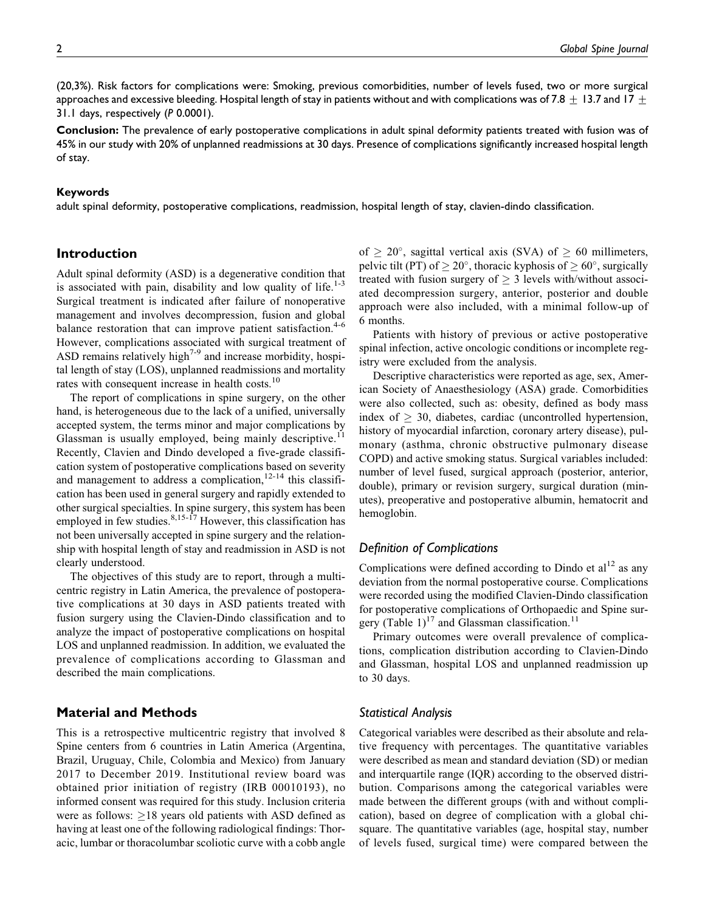(20,3%). Risk factors for complications were: Smoking, previous comorbidities, number of levels fused, two or more surgical approaches and excessive bleeding. Hospital length of stay in patients without and with complications was of 7.8  $\pm$  13.7 and 17  $\pm$ 31.1 days, respectively (*P* 0.0001).

**Conclusion:** The prevalence of early postoperative complications in adult spinal deformity patients treated with fusion was of 45% in our study with 20% of unplanned readmissions at 30 days. Presence of complications significantly increased hospital length of stay.

#### **Keywords**

adult spinal deformity, postoperative complications, readmission, hospital length of stay, clavien-dindo classification.

# **Introduction**

Adult spinal deformity (ASD) is a degenerative condition that is associated with pain, disability and low quality of life. $1-3$ Surgical treatment is indicated after failure of nonoperative management and involves decompression, fusion and global balance restoration that can improve patient satisfaction. $4-6$ However, complications associated with surgical treatment of ASD remains relatively high<sup> $7-9$ </sup> and increase morbidity, hospital length of stay (LOS), unplanned readmissions and mortality rates with consequent increase in health costs.<sup>10</sup>

The report of complications in spine surgery, on the other hand, is heterogeneous due to the lack of a unified, universally accepted system, the terms minor and major complications by Glassman is usually employed, being mainly descriptive.<sup>11</sup> Recently, Clavien and Dindo developed a five-grade classification system of postoperative complications based on severity and management to address a complication,  $12-14$  this classification has been used in general surgery and rapidly extended to other surgical specialties. In spine surgery, this system has been employed in few studies. $8,15-\hat{17}$  However, this classification has not been universally accepted in spine surgery and the relationship with hospital length of stay and readmission in ASD is not clearly understood.

The objectives of this study are to report, through a multicentric registry in Latin America, the prevalence of postoperative complications at 30 days in ASD patients treated with fusion surgery using the Clavien-Dindo classification and to analyze the impact of postoperative complications on hospital LOS and unplanned readmission. In addition, we evaluated the prevalence of complications according to Glassman and described the main complications.

### **Material and Methods**

This is a retrospective multicentric registry that involved 8 Spine centers from 6 countries in Latin America (Argentina, Brazil, Uruguay, Chile, Colombia and Mexico) from January 2017 to December 2019. Institutional review board was obtained prior initiation of registry (IRB 00010193), no informed consent was required for this study. Inclusion criteria were as follows:  $\geq$ 18 years old patients with ASD defined as having at least one of the following radiological findings: Thoracic, lumbar or thoracolumbar scoliotic curve with a cobb angle

of  $\geq 20^{\circ}$ , sagittal vertical axis (SVA) of  $\geq 60$  millimeters, pelvic tilt (PT) of  $\geq 20^{\circ}$ , thoracic kyphosis of  $\geq 60^{\circ}$ , surgically treated with fusion surgery of  $\geq$  3 levels with/without associated decompression surgery, anterior, posterior and double approach were also included, with a minimal follow-up of 6 months.

Patients with history of previous or active postoperative spinal infection, active oncologic conditions or incomplete registry were excluded from the analysis.

Descriptive characteristics were reported as age, sex, American Society of Anaesthesiology (ASA) grade. Comorbidities were also collected, such as: obesity, defined as body mass index of  $\geq$  30, diabetes, cardiac (uncontrolled hypertension, history of myocardial infarction, coronary artery disease), pulmonary (asthma, chronic obstructive pulmonary disease COPD) and active smoking status. Surgical variables included: number of level fused, surgical approach (posterior, anterior, double), primary or revision surgery, surgical duration (minutes), preoperative and postoperative albumin, hematocrit and hemoglobin.

## *Definition of Complications*

Complications were defined according to Dindo et  $al<sup>12</sup>$  as any deviation from the normal postoperative course. Complications were recorded using the modified Clavien-Dindo classification for postoperative complications of Orthopaedic and Spine surgery (Table 1)<sup>17</sup> and Glassman classification.<sup>11</sup>

Primary outcomes were overall prevalence of complications, complication distribution according to Clavien-Dindo and Glassman, hospital LOS and unplanned readmission up to 30 days.

### *Statistical Analysis*

Categorical variables were described as their absolute and relative frequency with percentages. The quantitative variables were described as mean and standard deviation (SD) or median and interquartile range (IQR) according to the observed distribution. Comparisons among the categorical variables were made between the different groups (with and without complication), based on degree of complication with a global chisquare. The quantitative variables (age, hospital stay, number of levels fused, surgical time) were compared between the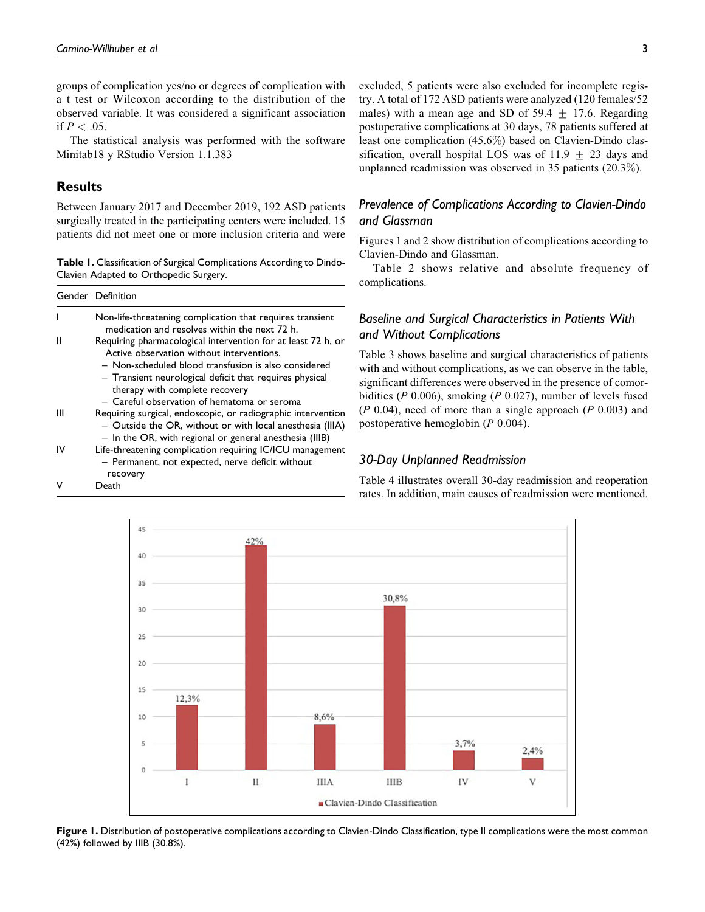groups of complication yes/no or degrees of complication with a t test or Wilcoxon according to the distribution of the observed variable. It was considered a significant association if  $P < .05$ .

The statistical analysis was performed with the software Minitab18 y RStudio Version 1.1.383

# **Results**

Between January 2017 and December 2019, 192 ASD patients surgically treated in the participating centers were included. 15 patients did not meet one or more inclusion criteria and were

**Table 1.** Classification of Surgical Complications According to Dindo-Clavien Adapted to Orthopedic Surgery.

|    | Gender Definition                                                                                                                                                                                                                                                                                             |
|----|---------------------------------------------------------------------------------------------------------------------------------------------------------------------------------------------------------------------------------------------------------------------------------------------------------------|
|    | Non-life-threatening complication that requires transient<br>medication and resolves within the next 72 h.                                                                                                                                                                                                    |
|    | Requiring pharmacological intervention for at least 72 h, or<br>Active observation without interventions.<br>- Non-scheduled blood transfusion is also considered<br>- Transient neurological deficit that requires physical<br>therapy with complete recovery<br>- Careful observation of hematoma or seroma |
| Ш  | Requiring surgical, endoscopic, or radiographic intervention<br>- Outside the OR, without or with local anesthesia (IIIA)<br>- In the OR, with regional or general anesthesia (IIIB)                                                                                                                          |
| ιv | Life-threatening complication requiring IC/ICU management<br>- Permanent, not expected, nerve deficit without<br>recovery                                                                                                                                                                                     |
|    | Death                                                                                                                                                                                                                                                                                                         |

excluded, 5 patients were also excluded for incomplete registry. A total of 172 ASD patients were analyzed (120 females/52 males) with a mean age and SD of 59.4  $\pm$  17.6. Regarding postoperative complications at 30 days, 78 patients suffered at least one complication (45.6%) based on Clavien-Dindo classification, overall hospital LOS was of  $11.9 + 23$  days and unplanned readmission was observed in 35 patients (20.3%).

# *Prevalence of Complications According to Clavien-Dindo and Glassman*

Figures 1 and 2 show distribution of complications according to Clavien-Dindo and Glassman.

Table 2 shows relative and absolute frequency of complications.

# *Baseline and Surgical Characteristics in Patients With and Without Complications*

Table 3 shows baseline and surgical characteristics of patients with and without complications, as we can observe in the table, significant differences were observed in the presence of comorbidities (P 0.006), smoking (P 0.027), number of levels fused  $(P\ 0.04)$ , need of more than a single approach  $(P\ 0.003)$  and postoperative hemoglobin (P 0.004).

### *30-Day Unplanned Readmission*

Table 4 illustrates overall 30-day readmission and reoperation rates. In addition, main causes of readmission were mentioned.



Figure 1. Distribution of postoperative complications according to Clavien-Dindo Classification, type II complications were the most common (42%) followed by IIIB (30.8%).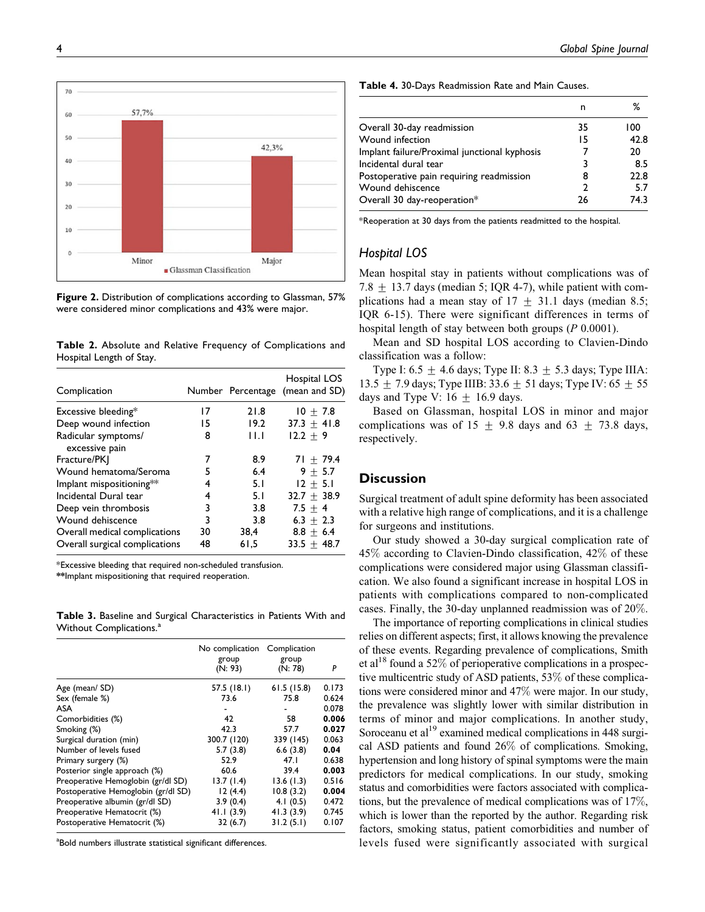n %

\*Reoperation at 30 days from the patients readmitted to the hospital.

Overall 30-day readmission 35 100 Wound infection 15 42.8 Implant failure/Proximal junctional kyphosis 7 20 Incidental dural tear 3 8.5 Postoperative pain requiring readmission 8 22.8 Wound dehiscence 2 5.7 Overall 30 day-reoperation\* 26 74.3

### *Hospital LOS*

Mean hospital stay in patients without complications was of  $7.8 + 13.7$  days (median 5; IQR 4-7), while patient with complications had a mean stay of  $17 + 31.1$  days (median 8.5; IQR 6-15). There were significant differences in terms of hospital length of stay between both groups (P 0.0001).

Mean and SD hospital LOS according to Clavien-Dindo classification was a follow:

Type I: 6.5  $\pm$  4.6 days; Type II: 8.3  $\pm$  5.3 days; Type IIIA: 13.5  $\pm$  7.9 days; Type IIIB: 33.6  $\pm$  51 days; Type IV: 65  $\pm$  55 days and Type V:  $16 \pm 16.9$  days.

Based on Glassman, hospital LOS in minor and major complications was of  $15 \pm 9.8$  days and  $63 \pm 73.8$  days, respectively.

### **Discussion**

Surgical treatment of adult spine deformity has been associated with a relative high range of complications, and it is a challenge for surgeons and institutions.

Our study showed a 30-day surgical complication rate of 45% according to Clavien-Dindo classification, 42% of these complications were considered major using Glassman classification. We also found a significant increase in hospital LOS in patients with complications compared to non-complicated cases. Finally, the 30-day unplanned readmission was of 20%.

The importance of reporting complications in clinical studies relies on different aspects; first, it allows knowing the prevalence of these events. Regarding prevalence of complications, Smith et al<sup>18</sup> found a 52% of perioperative complications in a prospective multicentric study of ASD patients, 53% of these complications were considered minor and 47% were major. In our study, the prevalence was slightly lower with similar distribution in terms of minor and major complications. In another study, Soroceanu et al<sup>19</sup> examined medical complications in 448 surgical ASD patients and found 26% of complications. Smoking, hypertension and long history of spinal symptoms were the main predictors for medical complications. In our study, smoking status and comorbidities were factors associated with complications, but the prevalence of medical complications was of 17%, which is lower than the reported by the author. Regarding risk factors, smoking status, patient comorbidities and number of levels fused were significantly associated with surgical

**Table 4.** 30-Days Readmission Rate and Main Causes.

| 20 |       |                         |       |  |
|----|-------|-------------------------|-------|--|
| 10 |       |                         |       |  |
| 0  | Minor | Glassman Classification | Major |  |

42,3%

**Figure 2.** Distribution of complications according to Glassman, 57% were considered minor complications and 43% were major.

**Table 2.** Absolute and Relative Frequency of Complications and Hospital Length of Stay.

| Complication                          |    | Number Percentage | Hospital LOS<br>(mean and SD) |
|---------------------------------------|----|-------------------|-------------------------------|
| Excessive bleeding*                   | 17 | 21.8              | $10 + 7.8$                    |
| Deep wound infection                  | 15 | 19.2              | $37.3 + 41.8$                 |
| Radicular symptoms/<br>excessive pain | 8  | ШJ                | $12.2 + 9$                    |
| Fracture/PK]                          | 7  | 8.9               | $71 + 79.4$                   |
| Wound hematoma/Seroma                 | 5  | 6.4               | $9 + 5.7$                     |
| Implant mispositioning**              | 4  | 5.1               | $12 + 5.1$                    |
| Incidental Dural tear                 | 4  | 5.1               | $32.7 + 38.9$                 |
| Deep vein thrombosis                  | 3  | 3.8               | $7.5 + 4$                     |
| Wound dehiscence                      | 3  | 3.8               | $6.3 + 2.3$                   |
| Overall medical complications         | 30 | 38,4              | $8.8 + 6.4$                   |
| Overall surgical complications        | 48 | 61.5              | $33.5 + 48.7$                 |

\*Excessive bleeding that required non-scheduled transfusion.

**\*\***Implant mispositioning that required reoperation.

**Table 3.** Baseline and Surgical Characteristics in Patients With and Without Complications.<sup>a</sup>

|                                     | No complication  | Complication     |       |
|-------------------------------------|------------------|------------------|-------|
|                                     | group<br>(N: 93) | group<br>(N: 78) | P     |
| Age (mean/SD)                       | 57.5 (18.1)      | 61.5(15.8)       | 0.173 |
| Sex (female %)                      | 73.6             | 75.8             | 0.624 |
| ASA                                 |                  |                  | 0.078 |
| Comorbidities (%)                   | 42               | 58               | 0.006 |
| Smoking (%)                         | 42.3             | 57.7             | 0.027 |
| Surgical duration (min)             | 300.7 (120)      | 339 (145)        | 0.063 |
| Number of levels fused              | 5.7(3.8)         | 6.6(3.8)         | 0.04  |
| Primary surgery (%)                 | 52.9             | 47.1             | 0.638 |
| Posterior single approach (%)       | 60.6             | 39.4             | 0.003 |
| Preoperative Hemoglobin (gr/dl SD)  | 13.7(1.4)        | 13.6(1.3)        | 0.516 |
| Postoperative Hemoglobin (gr/dl SD) | 12(4.4)          | 10.8(3.2)        | 0.004 |
| Preoperative albumin (gr/dl SD)     | 3.9(0.4)         | 4.1 $(0.5)$      | 0.472 |
| Preoperative Hematocrit (%)         | 41.1(3.9)        | 41.3(3.9)        | 0.745 |
| Postoperative Hematocrit (%)        | 32(6.7)          | 31.2(5.1)        | 0.107 |

<sup>a</sup>Bold numbers illustrate statistical significant differences.

 $70$ 

60

50

40

30

57,7%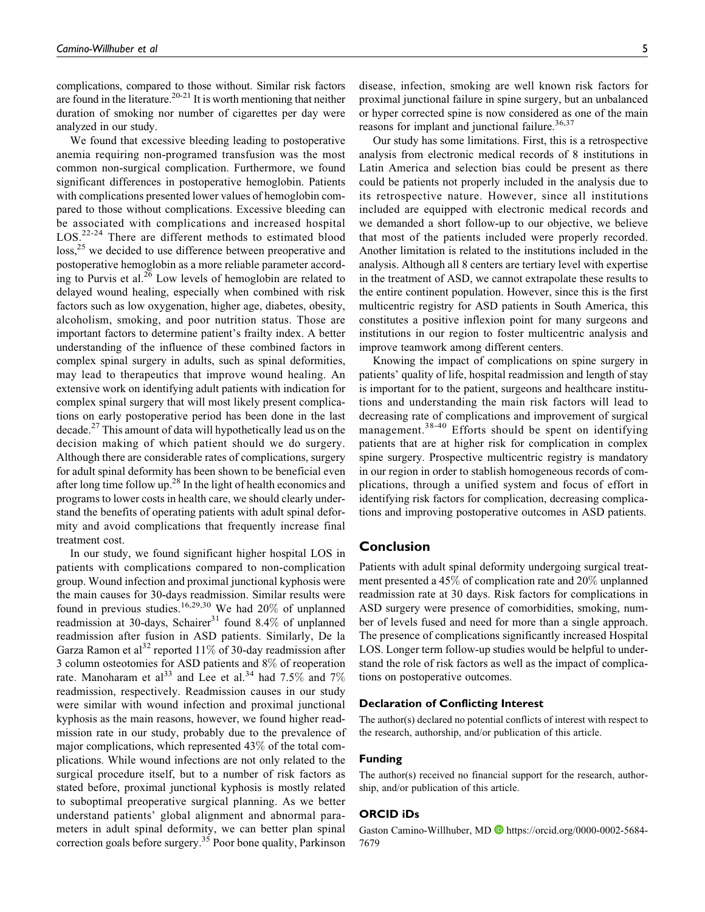complications, compared to those without. Similar risk factors are found in the literature.<sup>20-21</sup> It is worth mentioning that neither duration of smoking nor number of cigarettes per day were analyzed in our study.

We found that excessive bleeding leading to postoperative anemia requiring non-programed transfusion was the most common non-surgical complication. Furthermore, we found significant differences in postoperative hemoglobin. Patients with complications presented lower values of hemoglobin compared to those without complications. Excessive bleeding can be associated with complications and increased hospital LOS.<sup>22-24</sup> There are different methods to estimated blood  $\cos^{25}$  we decided to use difference between preoperative and postoperative hemoglobin as a more reliable parameter according to Purvis et al.<sup>26</sup> Low levels of hemoglobin are related to delayed wound healing, especially when combined with risk factors such as low oxygenation, higher age, diabetes, obesity, alcoholism, smoking, and poor nutrition status. Those are important factors to determine patient's frailty index. A better understanding of the influence of these combined factors in complex spinal surgery in adults, such as spinal deformities, may lead to therapeutics that improve wound healing. An extensive work on identifying adult patients with indication for complex spinal surgery that will most likely present complications on early postoperative period has been done in the last decade.<sup>27</sup> This amount of data will hypothetically lead us on the decision making of which patient should we do surgery. Although there are considerable rates of complications, surgery for adult spinal deformity has been shown to be beneficial even after long time follow up.<sup>28</sup> In the light of health economics and programs to lower costs in health care, we should clearly understand the benefits of operating patients with adult spinal deformity and avoid complications that frequently increase final treatment cost.

In our study, we found significant higher hospital LOS in patients with complications compared to non-complication group. Wound infection and proximal junctional kyphosis were the main causes for 30-days readmission. Similar results were found in previous studies.<sup>16,29,30</sup> We had  $20\%$  of unplanned readmission at 30-days, Schairer<sup>31</sup> found 8.4% of unplanned readmission after fusion in ASD patients. Similarly, De la Garza Ramon et al<sup>32</sup> reported 11\% of 30-day readmission after 3 column osteotomies for ASD patients and 8% of reoperation rate. Manoharam et al<sup>33</sup> and Lee et al.<sup>34</sup> had 7.5% and 7% readmission, respectively. Readmission causes in our study were similar with wound infection and proximal junctional kyphosis as the main reasons, however, we found higher readmission rate in our study, probably due to the prevalence of major complications, which represented 43% of the total complications. While wound infections are not only related to the surgical procedure itself, but to a number of risk factors as stated before, proximal junctional kyphosis is mostly related to suboptimal preoperative surgical planning. As we better understand patients' global alignment and abnormal parameters in adult spinal deformity, we can better plan spinal correction goals before surgery.<sup>35</sup> Poor bone quality, Parkinson disease, infection, smoking are well known risk factors for proximal junctional failure in spine surgery, but an unbalanced or hyper corrected spine is now considered as one of the main reasons for implant and junctional failure.<sup>36,37</sup>

Our study has some limitations. First, this is a retrospective analysis from electronic medical records of 8 institutions in Latin America and selection bias could be present as there could be patients not properly included in the analysis due to its retrospective nature. However, since all institutions included are equipped with electronic medical records and we demanded a short follow-up to our objective, we believe that most of the patients included were properly recorded. Another limitation is related to the institutions included in the analysis. Although all 8 centers are tertiary level with expertise in the treatment of ASD, we cannot extrapolate these results to the entire continent population. However, since this is the first multicentric registry for ASD patients in South America, this constitutes a positive inflexion point for many surgeons and institutions in our region to foster multicentric analysis and improve teamwork among different centers.

Knowing the impact of complications on spine surgery in patients' quality of life, hospital readmission and length of stay is important for to the patient, surgeons and healthcare institutions and understanding the main risk factors will lead to decreasing rate of complications and improvement of surgical management.<sup>38-40</sup> Efforts should be spent on identifying patients that are at higher risk for complication in complex spine surgery. Prospective multicentric registry is mandatory in our region in order to stablish homogeneous records of complications, through a unified system and focus of effort in identifying risk factors for complication, decreasing complications and improving postoperative outcomes in ASD patients.

### **Conclusion**

Patients with adult spinal deformity undergoing surgical treatment presented a 45% of complication rate and 20% unplanned readmission rate at 30 days. Risk factors for complications in ASD surgery were presence of comorbidities, smoking, number of levels fused and need for more than a single approach. The presence of complications significantly increased Hospital LOS. Longer term follow-up studies would be helpful to understand the role of risk factors as well as the impact of complications on postoperative outcomes.

### **Declaration of Conflicting Interest**

The author(s) declared no potential conflicts of interest with respect to the research, authorship, and/or publication of this article.

#### **Funding**

The author(s) received no financial support for the research, authorship, and/or publication of this article.

#### **ORCID iDs**

Gaston Camino-Willhuber, MD **D** [https://orcid.org/0000-0002-5684-](https://orcid.org/0000-0002-5684-7679) [7679](https://orcid.org/0000-0002-5684-7679)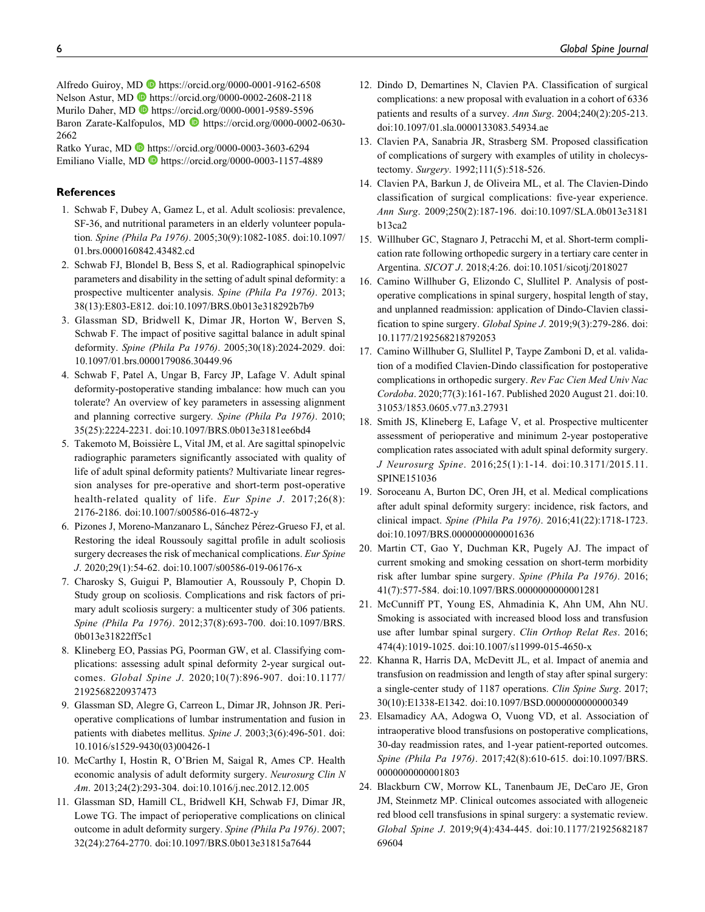Alfredo Guiroy, MD <https://orcid.org/0000-0001-9162-6508> Nelson Astur, MD **b** <https://orcid.org/0000-0002-2608-2118> Murilo Daher, MD **b** <https://orcid.org/0000-0001-9589-5596> Baron Zarate-Kalfopulos, MD [https://orcid.org/0000-0002-0630-](https://orcid.org/0000-0002-0630-2662) [2662](https://orcid.org/0000-0002-0630-2662)

Ratko Yurac, MD **b** <https://orcid.org/0000-0003-3603-6294> Emiliano Vialle, MD **b** <https://orcid.org/0000-0003-1157-4889>

#### **References**

- 1. Schwab F, Dubey A, Gamez L, et al. Adult scoliosis: prevalence, SF-36, and nutritional parameters in an elderly volunteer population. Spine (Phila Pa 1976). 2005;30(9):1082-1085. doi:10.1097/ 01.brs.0000160842.43482.cd
- 2. Schwab FJ, Blondel B, Bess S, et al. Radiographical spinopelvic parameters and disability in the setting of adult spinal deformity: a prospective multicenter analysis. Spine (Phila Pa 1976). 2013; 38(13):E803-E812. doi:10.1097/BRS.0b013e318292b7b9
- 3. Glassman SD, Bridwell K, Dimar JR, Horton W, Berven S, Schwab F. The impact of positive sagittal balance in adult spinal deformity. Spine (Phila Pa 1976). 2005;30(18):2024-2029. doi: 10.1097/01.brs.0000179086.30449.96
- 4. Schwab F, Patel A, Ungar B, Farcy JP, Lafage V. Adult spinal deformity-postoperative standing imbalance: how much can you tolerate? An overview of key parameters in assessing alignment and planning corrective surgery. Spine (Phila Pa 1976). 2010; 35(25):2224-2231. doi:10.1097/BRS.0b013e3181ee6bd4
- 5. Takemoto M, Boissière L, Vital JM, et al. Are sagittal spinopelvic radiographic parameters significantly associated with quality of life of adult spinal deformity patients? Multivariate linear regression analyses for pre-operative and short-term post-operative health-related quality of life. Eur Spine J. 2017;26(8): 2176-2186. doi:10.1007/s00586-016-4872-y
- 6. Pizones J, Moreno-Manzanaro L, Sánchez Pérez-Grueso FJ, et al. Restoring the ideal Roussouly sagittal profile in adult scoliosis surgery decreases the risk of mechanical complications. Eur Spine J. 2020;29(1):54-62. doi:10.1007/s00586-019-06176-x
- 7. Charosky S, Guigui P, Blamoutier A, Roussouly P, Chopin D. Study group on scoliosis. Complications and risk factors of primary adult scoliosis surgery: a multicenter study of 306 patients. Spine (Phila Pa 1976). 2012;37(8):693-700. doi:10.1097/BRS. 0b013e31822ff5c1
- 8. Klineberg EO, Passias PG, Poorman GW, et al. Classifying complications: assessing adult spinal deformity 2-year surgical outcomes. Global Spine J. 2020;10(7):896-907. doi:10.1177/ 2192568220937473
- 9. Glassman SD, Alegre G, Carreon L, Dimar JR, Johnson JR. Perioperative complications of lumbar instrumentation and fusion in patients with diabetes mellitus. Spine J. 2003;3(6):496-501. doi: 10.1016/s1529-9430(03)00426-1
- 10. McCarthy I, Hostin R, O'Brien M, Saigal R, Ames CP. Health economic analysis of adult deformity surgery. Neurosurg Clin N Am. 2013;24(2):293-304. doi:10.1016/j.nec.2012.12.005
- 11. Glassman SD, Hamill CL, Bridwell KH, Schwab FJ, Dimar JR, Lowe TG. The impact of perioperative complications on clinical outcome in adult deformity surgery. Spine (Phila Pa 1976). 2007; 32(24):2764-2770. doi:10.1097/BRS.0b013e31815a7644
- 12. Dindo D, Demartines N, Clavien PA. Classification of surgical complications: a new proposal with evaluation in a cohort of 6336 patients and results of a survey. Ann Surg. 2004;240(2):205-213. doi:10.1097/01.sla.0000133083.54934.ae
- 13. Clavien PA, Sanabria JR, Strasberg SM. Proposed classification of complications of surgery with examples of utility in cholecystectomy. Surgery. 1992;111(5):518-526.
- 14. Clavien PA, Barkun J, de Oliveira ML, et al. The Clavien-Dindo classification of surgical complications: five-year experience. Ann Surg. 2009;250(2):187-196. doi:10.1097/SLA.0b013e3181 b13ca2
- 15. Willhuber GC, Stagnaro J, Petracchi M, et al. Short-term complication rate following orthopedic surgery in a tertiary care center in Argentina. SICOT J. 2018;4:26. doi:10.1051/sicotj/2018027
- 16. Camino Willhuber G, Elizondo C, Slullitel P. Analysis of postoperative complications in spinal surgery, hospital length of stay, and unplanned readmission: application of Dindo-Clavien classification to spine surgery. Global Spine J. 2019;9(3):279-286. doi: 10.1177/2192568218792053
- 17. Camino Willhuber G, Slullitel P, Taype Zamboni D, et al. validation of a modified Clavien-Dindo classification for postoperative complications in orthopedic surgery. Rev Fac Cien Med Univ Nac Cordoba. 2020;77(3):161-167. Published 2020 August 21. doi:10. 31053/1853.0605.v77.n3.27931
- 18. Smith JS, Klineberg E, Lafage V, et al. Prospective multicenter assessment of perioperative and minimum 2-year postoperative complication rates associated with adult spinal deformity surgery. J Neurosurg Spine. 2016;25(1):1-14. doi:10.3171/2015.11. SPINE151036
- 19. Soroceanu A, Burton DC, Oren JH, et al. Medical complications after adult spinal deformity surgery: incidence, risk factors, and clinical impact. Spine (Phila Pa 1976). 2016;41(22):1718-1723. doi:10.1097/BRS.0000000000001636
- 20. Martin CT, Gao Y, Duchman KR, Pugely AJ. The impact of current smoking and smoking cessation on short-term morbidity risk after lumbar spine surgery. Spine (Phila Pa 1976). 2016; 41(7):577-584. doi:10.1097/BRS.0000000000001281
- 21. McCunniff PT, Young ES, Ahmadinia K, Ahn UM, Ahn NU. Smoking is associated with increased blood loss and transfusion use after lumbar spinal surgery. Clin Orthop Relat Res. 2016; 474(4):1019-1025. doi:10.1007/s11999-015-4650-x
- 22. Khanna R, Harris DA, McDevitt JL, et al. Impact of anemia and transfusion on readmission and length of stay after spinal surgery: a single-center study of 1187 operations. Clin Spine Surg. 2017; 30(10):E1338-E1342. doi:10.1097/BSD.0000000000000349
- 23. Elsamadicy AA, Adogwa O, Vuong VD, et al. Association of intraoperative blood transfusions on postoperative complications, 30-day readmission rates, and 1-year patient-reported outcomes. Spine (Phila Pa 1976). 2017;42(8):610-615. doi:10.1097/BRS. 0000000000001803
- 24. Blackburn CW, Morrow KL, Tanenbaum JE, DeCaro JE, Gron JM, Steinmetz MP. Clinical outcomes associated with allogeneic red blood cell transfusions in spinal surgery: a systematic review. Global Spine J. 2019;9(4):434-445. doi:10.1177/21925682187 69604